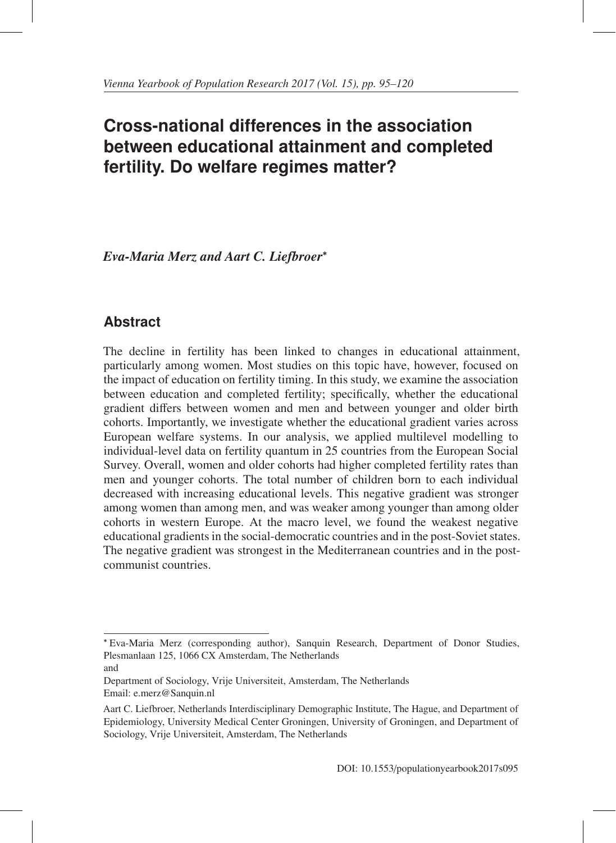# **Cross-national differences in the association between educational attainment and completed fertility. Do welfare regimes matter?**

*Eva-Maria Merz and Aart C. Liefbroer*<sup>∗</sup>

## **Abstract**

The decline in fertility has been linked to changes in educational attainment, particularly among women. Most studies on this topic have, however, focused on the impact of education on fertility timing. In this study, we examine the association between education and completed fertility; specifically, whether the educational gradient differs between women and men and between younger and older birth cohorts. Importantly, we investigate whether the educational gradient varies across European welfare systems. In our analysis, we applied multilevel modelling to individual-level data on fertility quantum in 25 countries from the European Social Survey. Overall, women and older cohorts had higher completed fertility rates than men and younger cohorts. The total number of children born to each individual decreased with increasing educational levels. This negative gradient was stronger among women than among men, and was weaker among younger than among older cohorts in western Europe. At the macro level, we found the weakest negative educational gradients in the social-democratic countries and in the post-Soviet states. The negative gradient was strongest in the Mediterranean countries and in the postcommunist countries.

<sup>∗</sup> Eva-Maria Merz (corresponding author), Sanquin Research, Department of Donor Studies, Plesmanlaan 125, 1066 CX Amsterdam, The Netherlands

and

Department of Sociology, Vrije Universiteit, Amsterdam, The Netherlands Email: e.merz@Sanquin.nl

Aart C. Liefbroer, Netherlands Interdisciplinary Demographic Institute, The Hague, and Department of Epidemiology, University Medical Center Groningen, University of Groningen, and Department of Sociology, Vrije Universiteit, Amsterdam, The Netherlands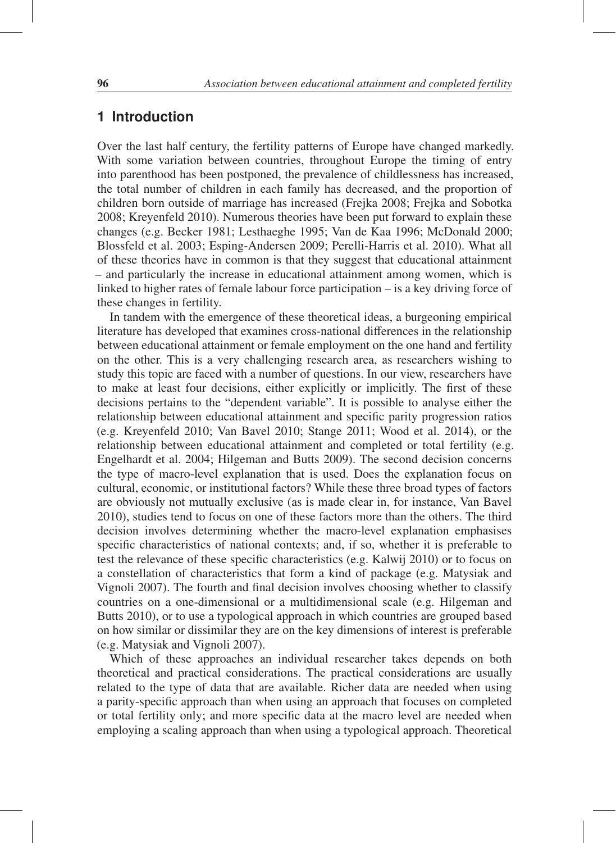## **1 Introduction**

Over the last half century, the fertility patterns of Europe have changed markedly. With some variation between countries, throughout Europe the timing of entry into parenthood has been postponed, the prevalence of childlessness has increased, the total number of children in each family has decreased, and the proportion of children born outside of marriage has increased (Frejka 2008; Frejka and Sobotka 2008; Kreyenfeld 2010). Numerous theories have been put forward to explain these changes (e.g. Becker 1981; Lesthaeghe 1995; Van de Kaa 1996; McDonald 2000; Blossfeld et al. 2003; Esping-Andersen 2009; Perelli-Harris et al. 2010). What all of these theories have in common is that they suggest that educational attainment – and particularly the increase in educational attainment among women, which is linked to higher rates of female labour force participation – is a key driving force of these changes in fertility.

In tandem with the emergence of these theoretical ideas, a burgeoning empirical literature has developed that examines cross-national differences in the relationship between educational attainment or female employment on the one hand and fertility on the other. This is a very challenging research area, as researchers wishing to study this topic are faced with a number of questions. In our view, researchers have to make at least four decisions, either explicitly or implicitly. The first of these decisions pertains to the "dependent variable". It is possible to analyse either the relationship between educational attainment and specific parity progression ratios (e.g. Kreyenfeld 2010; Van Bavel 2010; Stange 2011; Wood et al. 2014), or the relationship between educational attainment and completed or total fertility (e.g. Engelhardt et al. 2004; Hilgeman and Butts 2009). The second decision concerns the type of macro-level explanation that is used. Does the explanation focus on cultural, economic, or institutional factors? While these three broad types of factors are obviously not mutually exclusive (as is made clear in, for instance, Van Bavel 2010), studies tend to focus on one of these factors more than the others. The third decision involves determining whether the macro-level explanation emphasises specific characteristics of national contexts; and, if so, whether it is preferable to test the relevance of these specific characteristics (e.g. Kalwij 2010) or to focus on a constellation of characteristics that form a kind of package (e.g. Matysiak and Vignoli 2007). The fourth and final decision involves choosing whether to classify countries on a one-dimensional or a multidimensional scale (e.g. Hilgeman and Butts 2010), or to use a typological approach in which countries are grouped based on how similar or dissimilar they are on the key dimensions of interest is preferable (e.g. Matysiak and Vignoli 2007).

Which of these approaches an individual researcher takes depends on both theoretical and practical considerations. The practical considerations are usually related to the type of data that are available. Richer data are needed when using a parity-specific approach than when using an approach that focuses on completed or total fertility only; and more specific data at the macro level are needed when employing a scaling approach than when using a typological approach. Theoretical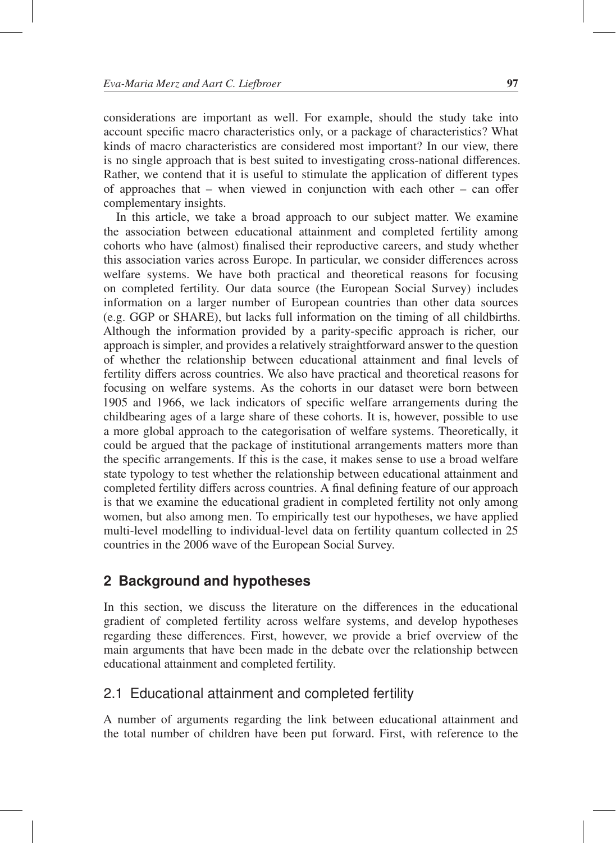considerations are important as well. For example, should the study take into account specific macro characteristics only, or a package of characteristics? What kinds of macro characteristics are considered most important? In our view, there is no single approach that is best suited to investigating cross-national differences. Rather, we contend that it is useful to stimulate the application of different types of approaches that – when viewed in conjunction with each other – can offer complementary insights.

In this article, we take a broad approach to our subject matter. We examine the association between educational attainment and completed fertility among cohorts who have (almost) finalised their reproductive careers, and study whether this association varies across Europe. In particular, we consider differences across welfare systems. We have both practical and theoretical reasons for focusing on completed fertility. Our data source (the European Social Survey) includes information on a larger number of European countries than other data sources (e.g. GGP or SHARE), but lacks full information on the timing of all childbirths. Although the information provided by a parity-specific approach is richer, our approach is simpler, and provides a relatively straightforward answer to the question of whether the relationship between educational attainment and final levels of fertility differs across countries. We also have practical and theoretical reasons for focusing on welfare systems. As the cohorts in our dataset were born between 1905 and 1966, we lack indicators of specific welfare arrangements during the childbearing ages of a large share of these cohorts. It is, however, possible to use a more global approach to the categorisation of welfare systems. Theoretically, it could be argued that the package of institutional arrangements matters more than the specific arrangements. If this is the case, it makes sense to use a broad welfare state typology to test whether the relationship between educational attainment and completed fertility differs across countries. A final defining feature of our approach is that we examine the educational gradient in completed fertility not only among women, but also among men. To empirically test our hypotheses, we have applied multi-level modelling to individual-level data on fertility quantum collected in 25 countries in the 2006 wave of the European Social Survey.

## **2 Background and hypotheses**

In this section, we discuss the literature on the differences in the educational gradient of completed fertility across welfare systems, and develop hypotheses regarding these differences. First, however, we provide a brief overview of the main arguments that have been made in the debate over the relationship between educational attainment and completed fertility.

## 2.1 Educational attainment and completed fertility

A number of arguments regarding the link between educational attainment and the total number of children have been put forward. First, with reference to the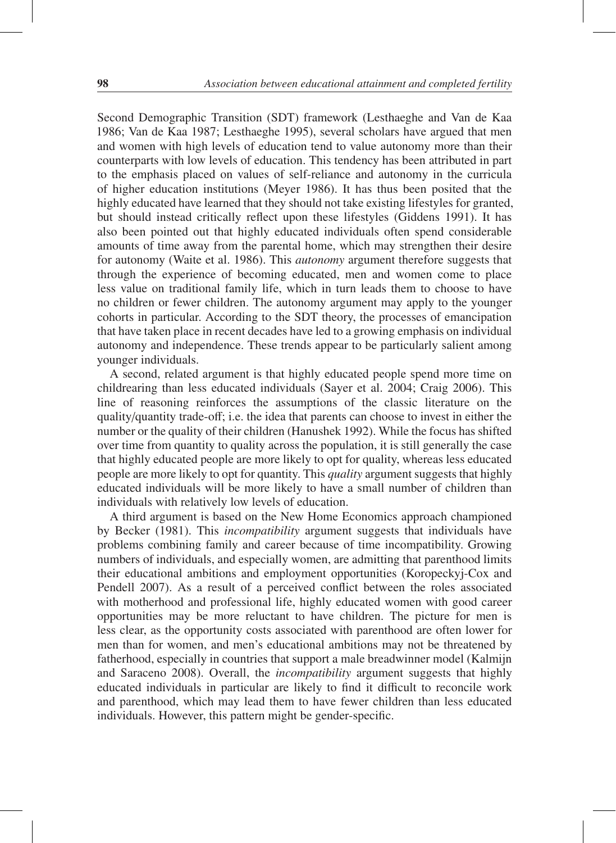Second Demographic Transition (SDT) framework (Lesthaeghe and Van de Kaa 1986; Van de Kaa 1987; Lesthaeghe 1995), several scholars have argued that men and women with high levels of education tend to value autonomy more than their counterparts with low levels of education. This tendency has been attributed in part to the emphasis placed on values of self-reliance and autonomy in the curricula of higher education institutions (Meyer 1986). It has thus been posited that the highly educated have learned that they should not take existing lifestyles for granted, but should instead critically reflect upon these lifestyles (Giddens 1991). It has also been pointed out that highly educated individuals often spend considerable amounts of time away from the parental home, which may strengthen their desire for autonomy (Waite et al. 1986). This *autonomy* argument therefore suggests that through the experience of becoming educated, men and women come to place less value on traditional family life, which in turn leads them to choose to have no children or fewer children. The autonomy argument may apply to the younger cohorts in particular. According to the SDT theory, the processes of emancipation that have taken place in recent decades have led to a growing emphasis on individual autonomy and independence. These trends appear to be particularly salient among younger individuals.

A second, related argument is that highly educated people spend more time on childrearing than less educated individuals (Sayer et al. 2004; Craig 2006). This line of reasoning reinforces the assumptions of the classic literature on the quality/quantity trade-off; i.e. the idea that parents can choose to invest in either the number or the quality of their children (Hanushek 1992). While the focus has shifted over time from quantity to quality across the population, it is still generally the case that highly educated people are more likely to opt for quality, whereas less educated people are more likely to opt for quantity. This *quality* argument suggests that highly educated individuals will be more likely to have a small number of children than individuals with relatively low levels of education.

A third argument is based on the New Home Economics approach championed by Becker (1981). This *incompatibility* argument suggests that individuals have problems combining family and career because of time incompatibility. Growing numbers of individuals, and especially women, are admitting that parenthood limits their educational ambitions and employment opportunities (Koropeckyj-Cox and Pendell 2007). As a result of a perceived conflict between the roles associated with motherhood and professional life, highly educated women with good career opportunities may be more reluctant to have children. The picture for men is less clear, as the opportunity costs associated with parenthood are often lower for men than for women, and men's educational ambitions may not be threatened by fatherhood, especially in countries that support a male breadwinner model (Kalmijn and Saraceno 2008). Overall, the *incompatibility* argument suggests that highly educated individuals in particular are likely to find it difficult to reconcile work and parenthood, which may lead them to have fewer children than less educated individuals. However, this pattern might be gender-specific.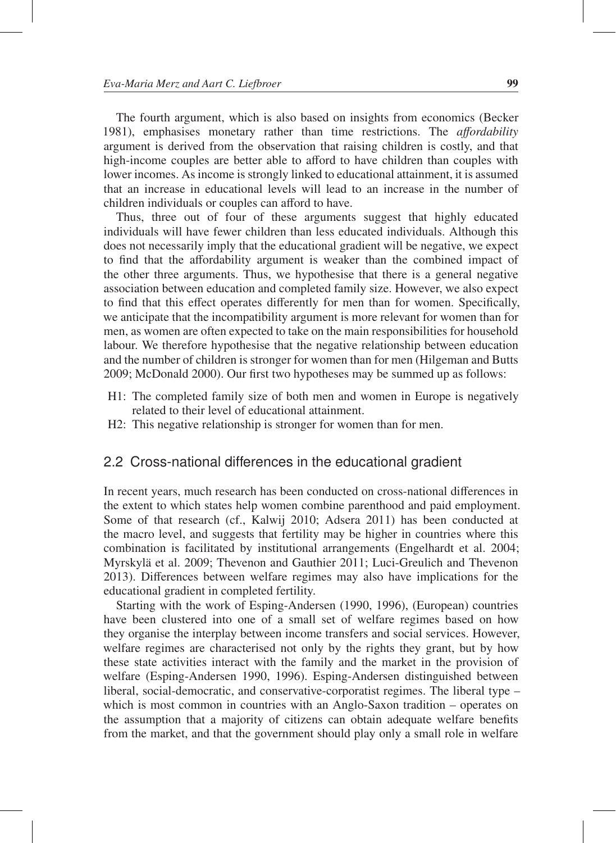The fourth argument, which is also based on insights from economics (Becker 1981), emphasises monetary rather than time restrictions. The *a*ff*ordability* argument is derived from the observation that raising children is costly, and that high-income couples are better able to afford to have children than couples with lower incomes. As income is strongly linked to educational attainment, it is assumed that an increase in educational levels will lead to an increase in the number of children individuals or couples can afford to have.

Thus, three out of four of these arguments suggest that highly educated individuals will have fewer children than less educated individuals. Although this does not necessarily imply that the educational gradient will be negative, we expect to find that the affordability argument is weaker than the combined impact of the other three arguments. Thus, we hypothesise that there is a general negative association between education and completed family size. However, we also expect to find that this effect operates differently for men than for women. Specifically, we anticipate that the incompatibility argument is more relevant for women than for men, as women are often expected to take on the main responsibilities for household labour. We therefore hypothesise that the negative relationship between education and the number of children is stronger for women than for men (Hilgeman and Butts 2009; McDonald 2000). Our first two hypotheses may be summed up as follows:

- H1: The completed family size of both men and women in Europe is negatively related to their level of educational attainment.
- H2: This negative relationship is stronger for women than for men.

## 2.2 Cross-national differences in the educational gradient

In recent years, much research has been conducted on cross-national differences in the extent to which states help women combine parenthood and paid employment. Some of that research (cf., Kalwij 2010; Adsera 2011) has been conducted at the macro level, and suggests that fertility may be higher in countries where this combination is facilitated by institutional arrangements (Engelhardt et al. 2004; Myrskylä et al. 2009; Thevenon and Gauthier 2011; Luci-Greulich and Thevenon 2013). Differences between welfare regimes may also have implications for the educational gradient in completed fertility.

Starting with the work of Esping-Andersen (1990, 1996), (European) countries have been clustered into one of a small set of welfare regimes based on how they organise the interplay between income transfers and social services. However, welfare regimes are characterised not only by the rights they grant, but by how these state activities interact with the family and the market in the provision of welfare (Esping-Andersen 1990, 1996). Esping-Andersen distinguished between liberal, social-democratic, and conservative-corporatist regimes. The liberal type – which is most common in countries with an Anglo-Saxon tradition – operates on the assumption that a majority of citizens can obtain adequate welfare benefits from the market, and that the government should play only a small role in welfare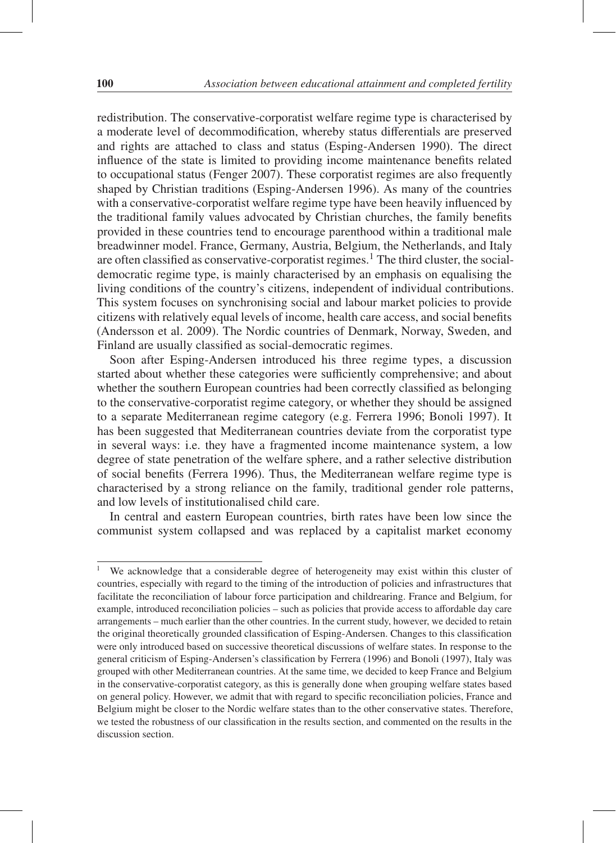redistribution. The conservative-corporatist welfare regime type is characterised by a moderate level of decommodification, whereby status differentials are preserved and rights are attached to class and status (Esping-Andersen 1990). The direct influence of the state is limited to providing income maintenance benefits related to occupational status (Fenger 2007). These corporatist regimes are also frequently shaped by Christian traditions (Esping-Andersen 1996). As many of the countries with a conservative-corporatist welfare regime type have been heavily influenced by the traditional family values advocated by Christian churches, the family benefits provided in these countries tend to encourage parenthood within a traditional male breadwinner model. France, Germany, Austria, Belgium, the Netherlands, and Italy are often classified as conservative-corporatist regimes.1 The third cluster, the socialdemocratic regime type, is mainly characterised by an emphasis on equalising the living conditions of the country's citizens, independent of individual contributions. This system focuses on synchronising social and labour market policies to provide citizens with relatively equal levels of income, health care access, and social benefits (Andersson et al. 2009). The Nordic countries of Denmark, Norway, Sweden, and Finland are usually classified as social-democratic regimes.

Soon after Esping-Andersen introduced his three regime types, a discussion started about whether these categories were sufficiently comprehensive; and about whether the southern European countries had been correctly classified as belonging to the conservative-corporatist regime category, or whether they should be assigned to a separate Mediterranean regime category (e.g. Ferrera 1996; Bonoli 1997). It has been suggested that Mediterranean countries deviate from the corporatist type in several ways: i.e. they have a fragmented income maintenance system, a low degree of state penetration of the welfare sphere, and a rather selective distribution of social benefits (Ferrera 1996). Thus, the Mediterranean welfare regime type is characterised by a strong reliance on the family, traditional gender role patterns, and low levels of institutionalised child care.

In central and eastern European countries, birth rates have been low since the communist system collapsed and was replaced by a capitalist market economy

<sup>&</sup>lt;sup>1</sup> We acknowledge that a considerable degree of heterogeneity may exist within this cluster of countries, especially with regard to the timing of the introduction of policies and infrastructures that facilitate the reconciliation of labour force participation and childrearing. France and Belgium, for example, introduced reconciliation policies – such as policies that provide access to affordable day care arrangements – much earlier than the other countries. In the current study, however, we decided to retain the original theoretically grounded classification of Esping-Andersen. Changes to this classification were only introduced based on successive theoretical discussions of welfare states. In response to the general criticism of Esping-Andersen's classification by Ferrera (1996) and Bonoli (1997), Italy was grouped with other Mediterranean countries. At the same time, we decided to keep France and Belgium in the conservative-corporatist category, as this is generally done when grouping welfare states based on general policy. However, we admit that with regard to specific reconciliation policies, France and Belgium might be closer to the Nordic welfare states than to the other conservative states. Therefore, we tested the robustness of our classification in the results section, and commented on the results in the discussion section.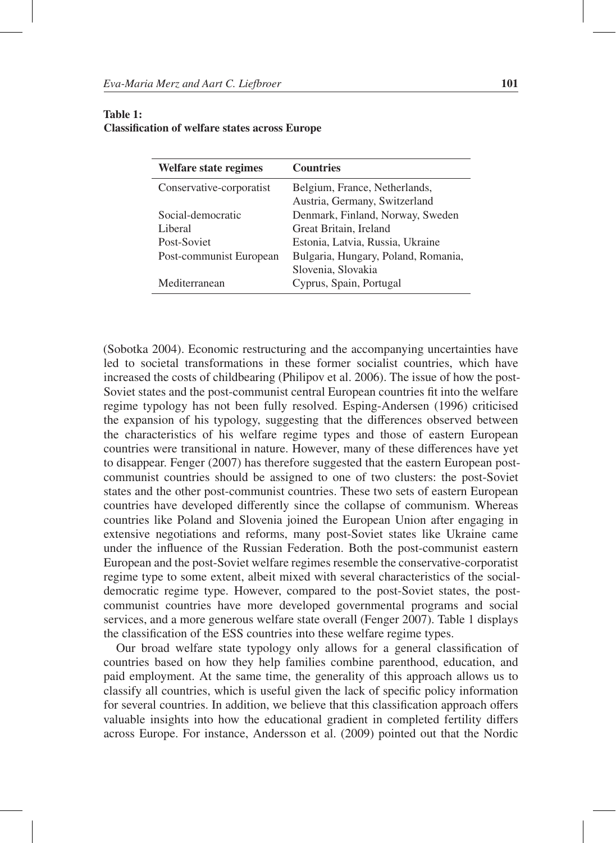| Welfare state regimes    | <b>Countries</b>                    |
|--------------------------|-------------------------------------|
| Conservative-corporatist | Belgium, France, Netherlands,       |
|                          | Austria, Germany, Switzerland       |
| Social-democratic        | Denmark, Finland, Norway, Sweden    |
| Liberal                  | Great Britain, Ireland              |
| Post-Soviet              | Estonia, Latvia, Russia, Ukraine    |
| Post-communist European  | Bulgaria, Hungary, Poland, Romania, |
|                          | Slovenia, Slovakia                  |
| Mediterranean            | Cyprus, Spain, Portugal             |

#### Table 1: Classification of welfare states across Europe

(Sobotka 2004). Economic restructuring and the accompanying uncertainties have led to societal transformations in these former socialist countries, which have increased the costs of childbearing (Philipov et al. 2006). The issue of how the post-Soviet states and the post-communist central European countries fit into the welfare regime typology has not been fully resolved. Esping-Andersen (1996) criticised the expansion of his typology, suggesting that the differences observed between the characteristics of his welfare regime types and those of eastern European countries were transitional in nature. However, many of these differences have yet to disappear. Fenger (2007) has therefore suggested that the eastern European postcommunist countries should be assigned to one of two clusters: the post-Soviet states and the other post-communist countries. These two sets of eastern European countries have developed differently since the collapse of communism. Whereas countries like Poland and Slovenia joined the European Union after engaging in extensive negotiations and reforms, many post-Soviet states like Ukraine came under the influence of the Russian Federation. Both the post-communist eastern European and the post-Soviet welfare regimes resemble the conservative-corporatist regime type to some extent, albeit mixed with several characteristics of the socialdemocratic regime type. However, compared to the post-Soviet states, the postcommunist countries have more developed governmental programs and social services, and a more generous welfare state overall (Fenger 2007). Table 1 displays the classification of the ESS countries into these welfare regime types.

Our broad welfare state typology only allows for a general classification of countries based on how they help families combine parenthood, education, and paid employment. At the same time, the generality of this approach allows us to classify all countries, which is useful given the lack of specific policy information for several countries. In addition, we believe that this classification approach offers valuable insights into how the educational gradient in completed fertility differs across Europe. For instance, Andersson et al. (2009) pointed out that the Nordic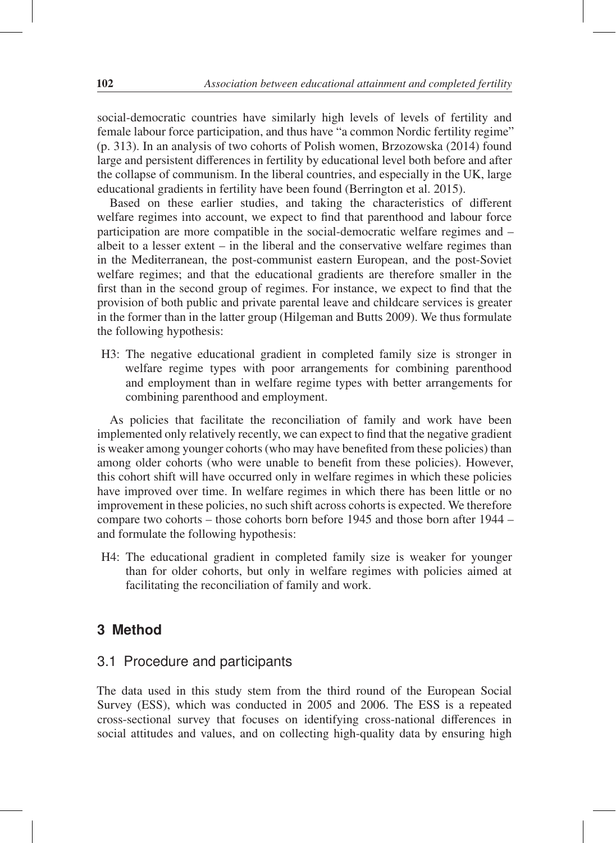social-democratic countries have similarly high levels of levels of fertility and female labour force participation, and thus have "a common Nordic fertility regime" (p. 313). In an analysis of two cohorts of Polish women, Brzozowska (2014) found large and persistent differences in fertility by educational level both before and after the collapse of communism. In the liberal countries, and especially in the UK, large educational gradients in fertility have been found (Berrington et al. 2015).

Based on these earlier studies, and taking the characteristics of different welfare regimes into account, we expect to find that parenthood and labour force participation are more compatible in the social-democratic welfare regimes and – albeit to a lesser extent  $-$  in the liberal and the conservative welfare regimes than in the Mediterranean, the post-communist eastern European, and the post-Soviet welfare regimes; and that the educational gradients are therefore smaller in the first than in the second group of regimes. For instance, we expect to find that the provision of both public and private parental leave and childcare services is greater in the former than in the latter group (Hilgeman and Butts 2009). We thus formulate the following hypothesis:

H3: The negative educational gradient in completed family size is stronger in welfare regime types with poor arrangements for combining parenthood and employment than in welfare regime types with better arrangements for combining parenthood and employment.

As policies that facilitate the reconciliation of family and work have been implemented only relatively recently, we can expect to find that the negative gradient is weaker among younger cohorts (who may have benefited from these policies) than among older cohorts (who were unable to benefit from these policies). However, this cohort shift will have occurred only in welfare regimes in which these policies have improved over time. In welfare regimes in which there has been little or no improvement in these policies, no such shift across cohorts is expected. We therefore compare two cohorts – those cohorts born before 1945 and those born after 1944 – and formulate the following hypothesis:

H4: The educational gradient in completed family size is weaker for younger than for older cohorts, but only in welfare regimes with policies aimed at facilitating the reconciliation of family and work.

## **3 Method**

## 3.1 Procedure and participants

The data used in this study stem from the third round of the European Social Survey (ESS), which was conducted in 2005 and 2006. The ESS is a repeated cross-sectional survey that focuses on identifying cross-national differences in social attitudes and values, and on collecting high-quality data by ensuring high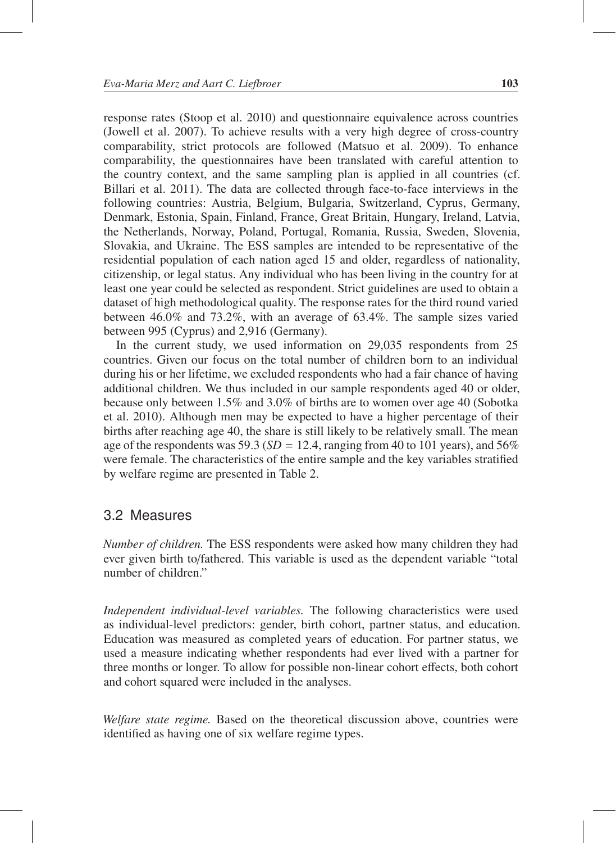response rates (Stoop et al. 2010) and questionnaire equivalence across countries (Jowell et al. 2007). To achieve results with a very high degree of cross-country comparability, strict protocols are followed (Matsuo et al. 2009). To enhance comparability, the questionnaires have been translated with careful attention to the country context, and the same sampling plan is applied in all countries (cf. Billari et al. 2011). The data are collected through face-to-face interviews in the following countries: Austria, Belgium, Bulgaria, Switzerland, Cyprus, Germany, Denmark, Estonia, Spain, Finland, France, Great Britain, Hungary, Ireland, Latvia, the Netherlands, Norway, Poland, Portugal, Romania, Russia, Sweden, Slovenia, Slovakia, and Ukraine. The ESS samples are intended to be representative of the residential population of each nation aged 15 and older, regardless of nationality, citizenship, or legal status. Any individual who has been living in the country for at least one year could be selected as respondent. Strict guidelines are used to obtain a dataset of high methodological quality. The response rates for the third round varied between 46.0% and 73.2%, with an average of 63.4%. The sample sizes varied between 995 (Cyprus) and 2,916 (Germany).

In the current study, we used information on 29,035 respondents from 25 countries. Given our focus on the total number of children born to an individual during his or her lifetime, we excluded respondents who had a fair chance of having additional children. We thus included in our sample respondents aged 40 or older, because only between 1.5% and 3.0% of births are to women over age 40 (Sobotka et al. 2010). Although men may be expected to have a higher percentage of their births after reaching age 40, the share is still likely to be relatively small. The mean age of the respondents was 59.3 ( $SD = 12.4$ , ranging from 40 to 101 years), and 56% were female. The characteristics of the entire sample and the key variables stratified by welfare regime are presented in Table 2.

#### 3.2 Measures

*Number of children.* The ESS respondents were asked how many children they had ever given birth to/fathered. This variable is used as the dependent variable "total number of children."

*Independent individual-level variables.* The following characteristics were used as individual-level predictors: gender, birth cohort, partner status, and education. Education was measured as completed years of education. For partner status, we used a measure indicating whether respondents had ever lived with a partner for three months or longer. To allow for possible non-linear cohort effects, both cohort and cohort squared were included in the analyses.

*Welfare state regime.* Based on the theoretical discussion above, countries were identified as having one of six welfare regime types.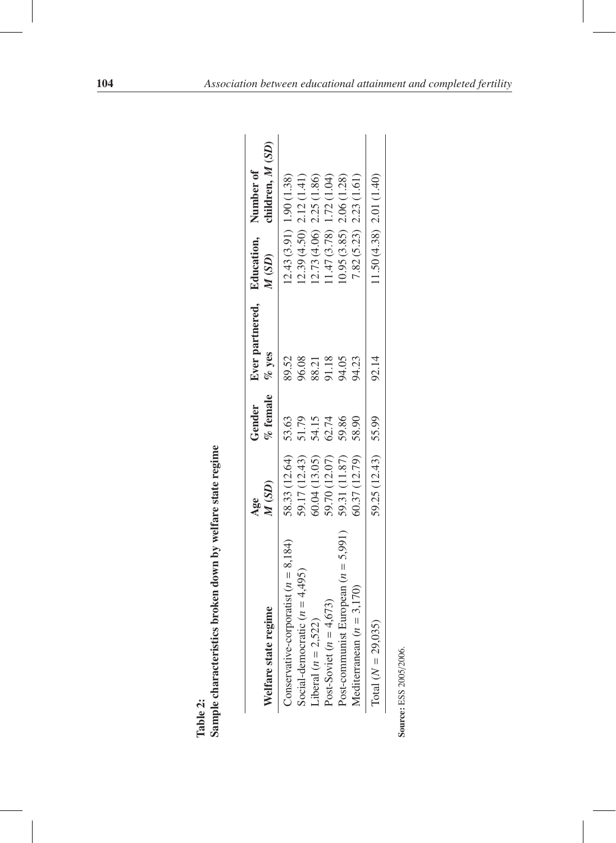|             | and ofte to                         |
|-------------|-------------------------------------|
|             | $\frac{1}{2}$<br>$-1.041$<br>$\sum$ |
|             | $\frac{5}{10}$<br>I<br>$\eta$ do.   |
|             | i<br>l                              |
|             |                                     |
| i<br>₿<br>F | ŗ                                   |

| Welfare state regime                    | M(SD)<br>Age        | $\%$ female<br>Gender | Ever partnered, Education, Number of<br>$\%$ yes | M(SD)                      | children, M (SD) |
|-----------------------------------------|---------------------|-----------------------|--------------------------------------------------|----------------------------|------------------|
| Conservative-corporatist $(n = 8, 184)$ | 58.33 (12.64)       | 53.63                 | 89.52                                            | $12.43(3.91)$ 1.90 (1.38)  |                  |
| Social-democratic $(n = 4,495)$         | 59.17 (12.43)       | 51.79                 | 96.08                                            | $12.39(4.50)$ $2.12(1.41)$ |                  |
| Liberal $(n = 2,522)$                   | 60.04 (13.05)       | 54.15                 | 88.21                                            | (2.73(4.06) 2.25(1.86))    |                  |
| Post-Soviet ( $n = 4,673$ )             | 59.70 (12.07)       | 62.74                 | 91.18                                            | (1.47(3.78) 1.72(1.04))    |                  |
| Post-communist European $(n = 5,991)$   | 59.31 (11.87)       | 59.86                 |                                                  | (0.95(3.85) 2.06(1.28))    |                  |
| Mediterranean $(n = 3,170)$             | 60.37 (12.79)       | 58.90                 | 94.23                                            | $7.82(5.23)$ $2.23(1.61)$  |                  |
| Total $(N = 29,035)$                    | 59.25 (12.43) 55.99 |                       | 92.14                                            | $11.50(4.38)$ 2.01 (1.40)  |                  |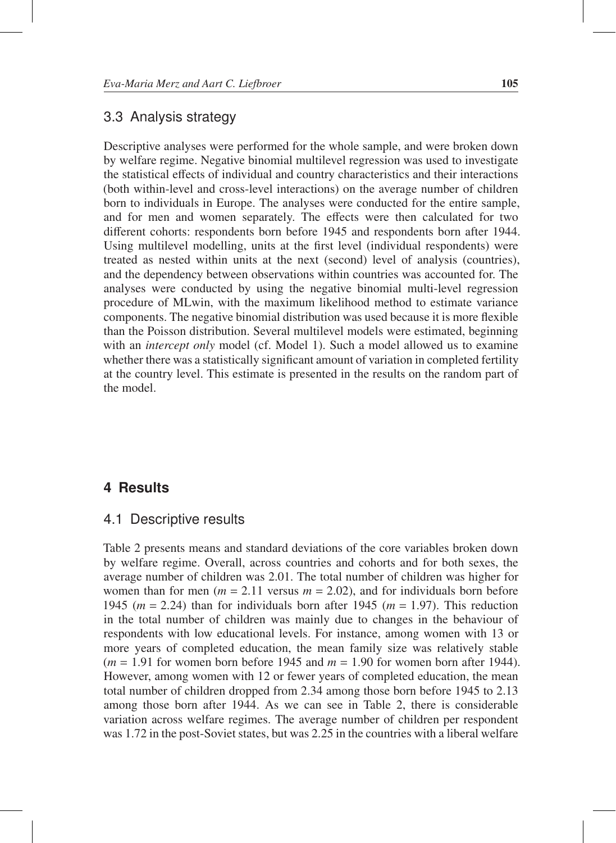#### 3.3 Analysis strategy

Descriptive analyses were performed for the whole sample, and were broken down by welfare regime. Negative binomial multilevel regression was used to investigate the statistical effects of individual and country characteristics and their interactions (both within-level and cross-level interactions) on the average number of children born to individuals in Europe. The analyses were conducted for the entire sample, and for men and women separately. The effects were then calculated for two different cohorts: respondents born before 1945 and respondents born after 1944. Using multilevel modelling, units at the first level (individual respondents) were treated as nested within units at the next (second) level of analysis (countries), and the dependency between observations within countries was accounted for. The analyses were conducted by using the negative binomial multi-level regression procedure of MLwin, with the maximum likelihood method to estimate variance components. The negative binomial distribution was used because it is more flexible than the Poisson distribution. Several multilevel models were estimated, beginning with an *intercept only* model (cf. Model 1). Such a model allowed us to examine whether there was a statistically significant amount of variation in completed fertility at the country level. This estimate is presented in the results on the random part of the model.

## **4 Results**

#### 4.1 Descriptive results

Table 2 presents means and standard deviations of the core variables broken down by welfare regime. Overall, across countries and cohorts and for both sexes, the average number of children was 2.01. The total number of children was higher for women than for men ( $m = 2.11$  versus  $m = 2.02$ ), and for individuals born before 1945 ( $m = 2.24$ ) than for individuals born after 1945 ( $m = 1.97$ ). This reduction in the total number of children was mainly due to changes in the behaviour of respondents with low educational levels. For instance, among women with 13 or more years of completed education, the mean family size was relatively stable  $(m = 1.91$  for women born before 1945 and  $m = 1.90$  for women born after 1944). However, among women with 12 or fewer years of completed education, the mean total number of children dropped from 2.34 among those born before 1945 to 2.13 among those born after 1944. As we can see in Table 2, there is considerable variation across welfare regimes. The average number of children per respondent was 1.72 in the post-Soviet states, but was 2.25 in the countries with a liberal welfare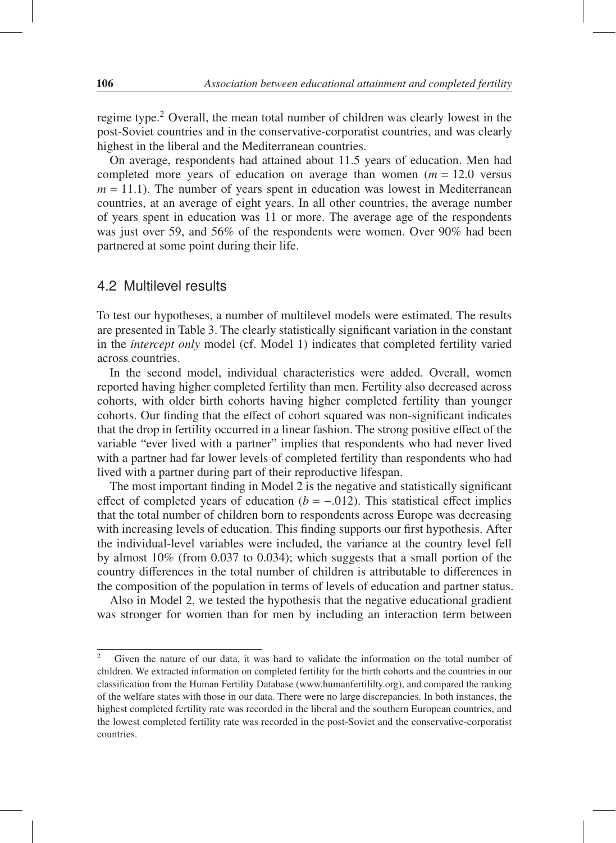regime type.<sup>2</sup> Overall, the mean total number of children was clearly lowest in the post-Soviet countries and in the conservative-corporatist countries, and was clearly highest in the liberal and the Mediterranean countries.

On average, respondents had attained about 11.5 years of education. Men had completed more years of education on average than women  $(m = 12.0 \text{ versus}$  $m = 11.1$ ). The number of years spent in education was lowest in Mediterranean countries, at an average of eight years. In all other countries, the average number of years spent in education was 11 or more. The average age of the respondents was just over 59, and 56% of the respondents were women. Over 90% had been partnered at some point during their life.

#### 4.2 Multilevel results

To test our hypotheses, a number of multilevel models were estimated. The results are presented in Table 3. The clearly statistically significant variation in the constant in the *intercept only* model (cf. Model 1) indicates that completed fertility varied across countries.

In the second model, individual characteristics were added. Overall, women reported having higher completed fertility than men. Fertility also decreased across cohorts, with older birth cohorts having higher completed fertility than younger cohorts. Our finding that the effect of cohort squared was non-significant indicates that the drop in fertility occurred in a linear fashion. The strong positive effect of the variable "ever lived with a partner" implies that respondents who had never lived with a partner had far lower levels of completed fertility than respondents who had lived with a partner during part of their reproductive lifespan.

The most important finding in Model 2 is the negative and statistically significant effect of completed years of education  $(b = -.012)$ . This statistical effect implies that the total number of children born to respondents across Europe was decreasing with increasing levels of education. This finding supports our first hypothesis. After the individual-level variables were included, the variance at the country level fell by almost 10% (from 0.037 to 0.034); which suggests that a small portion of the country differences in the total number of children is attributable to differences in the composition of the population in terms of levels of education and partner status.

Also in Model 2, we tested the hypothesis that the negative educational gradient was stronger for women than for men by including an interaction term between

<sup>&</sup>lt;sup>2</sup> Given the nature of our data, it was hard to validate the information on the total number of children. We extracted information on completed fertility for the birth cohorts and the countries in our classification from the Human Fertility Database (www.humanfertililty.org), and compared the ranking of the welfare states with those in our data. There were no large discrepancies. In both instances, the highest completed fertility rate was recorded in the liberal and the southern European countries, and the lowest completed fertility rate was recorded in the post-Soviet and the conservative-corporatist countries.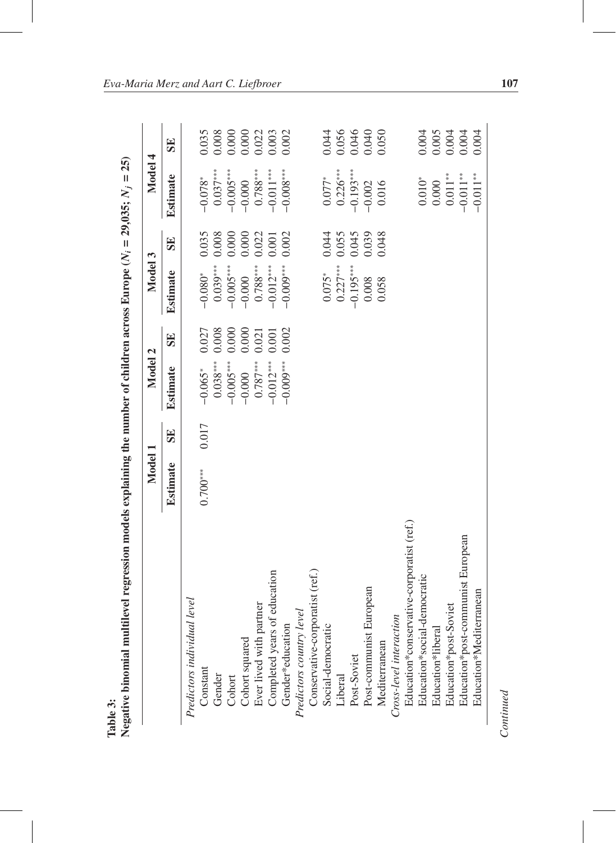|                                           | Model 1    |       | Model 2         |       | Model 3                      |                  | Model 4                                            |                                                                          |
|-------------------------------------------|------------|-------|-----------------|-------|------------------------------|------------------|----------------------------------------------------|--------------------------------------------------------------------------|
|                                           | Estimate   | SE    | <b>Estimate</b> | SE    | <b>Estimate</b>              | SE               | <b>Estimate</b>                                    | SE                                                                       |
| Predictors individual level               |            |       |                 |       |                              |                  |                                                    |                                                                          |
| Constant                                  | $0.700***$ | 0.017 | $-0.065*$       | 0.027 | $-0.080*$                    | 0.035            | $-0.078*$                                          | 0.035                                                                    |
| Gender                                    |            |       | $0.038***$      | 0.008 |                              |                  |                                                    |                                                                          |
| Cohort                                    |            |       | $-0.005***$     | 0.000 | $0.039***$<br>-0.005***      | $0.008$<br>0.000 | $0.037***$<br>-0.005***                            |                                                                          |
| Cohort squared                            |            |       | $-0.000$        | 0.000 | $-0.000$                     | 0.000            | $-0.000$                                           | $\begin{array}{c} 0.008 \\ 0.000 \\ 0.000 \\ 0.022 \\ 0.003 \end{array}$ |
| Ever lived with partner                   |            |       | $0.787***$      | 0.021 |                              | 0.022            |                                                    |                                                                          |
| Completed years of education              |            |       | $-0.012***$     | 0.001 | $\frac{0.788***}{-0.012***}$ | 0.001            | $\frac{0.788***}{-0.011***}$                       |                                                                          |
| Gender*education                          |            |       | $-0.009***$     | 0.002 | $-0.009***$                  | 0.002            | $-0.008***$                                        | 0.002                                                                    |
| Predictors country level                  |            |       |                 |       |                              |                  |                                                    |                                                                          |
| Conservative-corporatist (ref.)           |            |       |                 |       |                              |                  |                                                    |                                                                          |
| Social-democratic                         |            |       |                 |       | $0.075*$                     | 0.044            | $0.077*$                                           |                                                                          |
| Liberal                                   |            |       |                 |       | $0.227***$                   |                  | $0.226***$<br>-0.193***                            | 0.044<br>0.056<br>0.046<br>0.040<br>0.050                                |
| Post-Soviet                               |            |       |                 |       | $-0.195***$                  | $0.055$<br>0.045 |                                                    |                                                                          |
| European<br>Post-communist                |            |       |                 |       | 0.008                        |                  | $-0.002$                                           |                                                                          |
| Mediterranean                             |            |       |                 |       | 0.058                        | 0.039<br>0.048   | 0.016                                              |                                                                          |
| Cross-level interaction                   |            |       |                 |       |                              |                  |                                                    |                                                                          |
| Education*conservative-corporatist (ref.) |            |       |                 |       |                              |                  |                                                    |                                                                          |
| Education*social-democratic               |            |       |                 |       |                              |                  | $0.010^\ast$                                       |                                                                          |
| Education*libera                          |            |       |                 |       |                              |                  |                                                    |                                                                          |
| Education*post-Soviet                     |            |       |                 |       |                              |                  | $\begin{array}{c} 0.000 \\ 0.011^{**} \end{array}$ |                                                                          |
| Education*post-communist European         |            |       |                 |       |                              |                  | $-0.011**$                                         | 0.003<br>0.003<br>0.004<br>0.004                                         |
| Education*Mediterranean                   |            |       |                 |       |                              |                  | $-0.011**$                                         | 0.004                                                                    |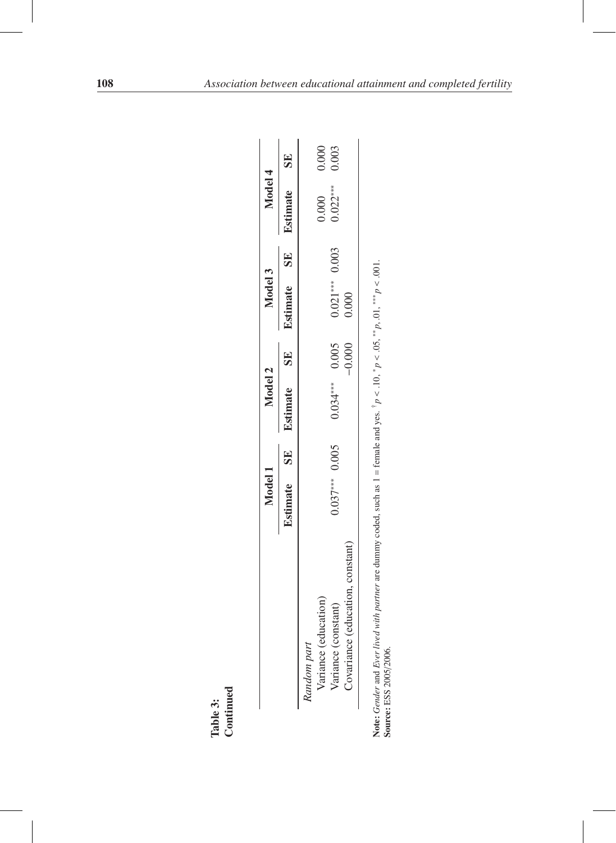|                                         | Model 1          |    | Model 2          |    | Model 3          | Model 4    |           |
|-----------------------------------------|------------------|----|------------------|----|------------------|------------|-----------|
|                                         | <b>Estimate</b>  | 52 | <b>Estimate</b>  | 5E | Estimate SE      | Estimate   | <b>SE</b> |
| education)<br>Random part<br>Variance ( |                  |    |                  |    |                  | 0.000      | 0.000     |
| constant)<br>Variance (                 | $0.037***$ 0.005 |    |                  |    | $0.021***$ 0.003 | $0.022***$ | 0.003     |
| Covariance (education, constant)        |                  |    | $0.034***$ 0.005 |    | 0.000            |            |           |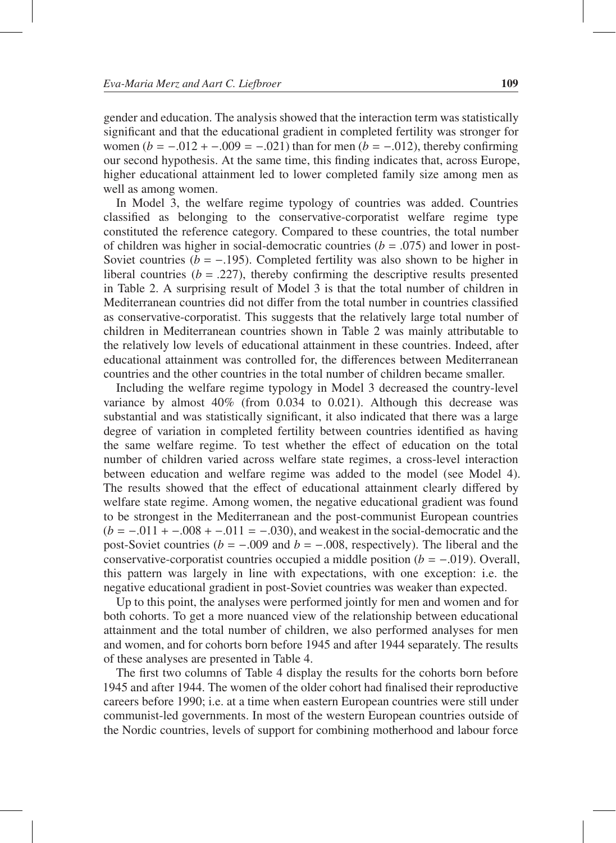gender and education. The analysis showed that the interaction term was statistically significant and that the educational gradient in completed fertility was stronger for women  $(b = -.012 + -.009 = -.021)$  than for men  $(b = -.012)$ , thereby confirming our second hypothesis. At the same time, this finding indicates that, across Europe, higher educational attainment led to lower completed family size among men as well as among women.

In Model 3, the welfare regime typology of countries was added. Countries classified as belonging to the conservative-corporatist welfare regime type constituted the reference category. Compared to these countries, the total number of children was higher in social-democratic countries  $(b = .075)$  and lower in post-Soviet countries ( $b = -.195$ ). Completed fertility was also shown to be higher in liberal countries  $(b = .227)$ , thereby confirming the descriptive results presented in Table 2. A surprising result of Model 3 is that the total number of children in Mediterranean countries did not differ from the total number in countries classified as conservative-corporatist. This suggests that the relatively large total number of children in Mediterranean countries shown in Table 2 was mainly attributable to the relatively low levels of educational attainment in these countries. Indeed, after educational attainment was controlled for, the differences between Mediterranean countries and the other countries in the total number of children became smaller.

Including the welfare regime typology in Model 3 decreased the country-level variance by almost 40% (from 0.034 to 0.021). Although this decrease was substantial and was statistically significant, it also indicated that there was a large degree of variation in completed fertility between countries identified as having the same welfare regime. To test whether the effect of education on the total number of children varied across welfare state regimes, a cross-level interaction between education and welfare regime was added to the model (see Model 4). The results showed that the effect of educational attainment clearly differed by welfare state regime. Among women, the negative educational gradient was found to be strongest in the Mediterranean and the post-communist European countries  $(b = -0.011 + -0.008 + -0.011 = -0.030)$ , and weakest in the social-democratic and the post-Soviet countries ( $b = -.009$  and  $b = -.008$ , respectively). The liberal and the conservative-corporatist countries occupied a middle position (*b* = −.019). Overall, this pattern was largely in line with expectations, with one exception: i.e. the negative educational gradient in post-Soviet countries was weaker than expected.

Up to this point, the analyses were performed jointly for men and women and for both cohorts. To get a more nuanced view of the relationship between educational attainment and the total number of children, we also performed analyses for men and women, and for cohorts born before 1945 and after 1944 separately. The results of these analyses are presented in Table 4.

The first two columns of Table 4 display the results for the cohorts born before 1945 and after 1944. The women of the older cohort had finalised their reproductive careers before 1990; i.e. at a time when eastern European countries were still under communist-led governments. In most of the western European countries outside of the Nordic countries, levels of support for combining motherhood and labour force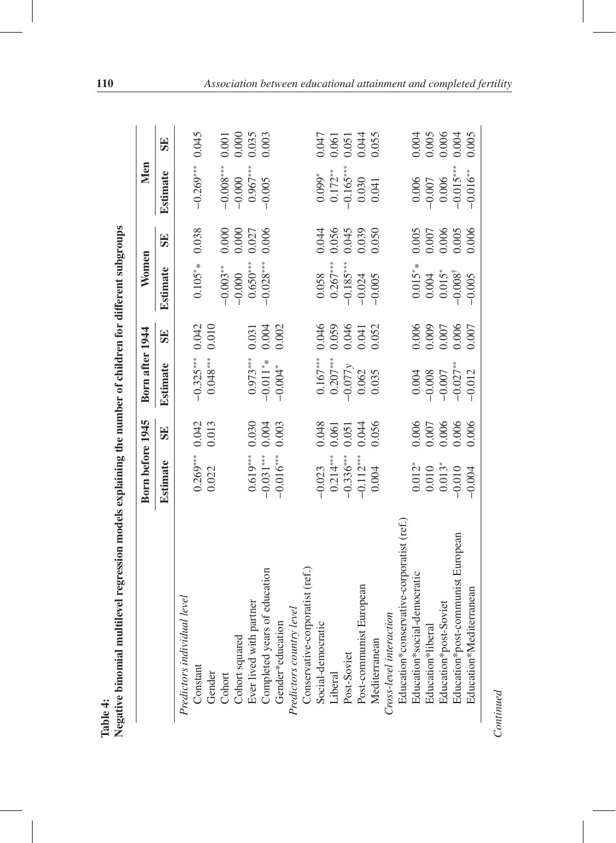|                                                                                               | Born before 1945 |       | Born after 1944          |                    | Women                                                         |                    | Men                  |                       |
|-----------------------------------------------------------------------------------------------|------------------|-------|--------------------------|--------------------|---------------------------------------------------------------|--------------------|----------------------|-----------------------|
|                                                                                               | <b>Estimate</b>  | SE    | <b>Estimate</b>          | SE                 | <b>Estimate</b>                                               | SE                 | <b>Estimate</b>      | SE                    |
| Predictors individual level                                                                   |                  |       |                          |                    |                                                               |                    |                      |                       |
| Constant                                                                                      | $0.269***$       | 0.042 | $-0.325***$              | 0.042              | $0.105**$                                                     | 0.038              | $-0.269***$          | 0.045                 |
|                                                                                               | 0.022            | 0.013 | $0.048***$               | 0.010              |                                                               |                    |                      |                       |
| Gender<br>Cohort                                                                              |                  |       |                          |                    | $-0.003***$                                                   | 0.000              | $-0.008***$          | 0.001                 |
|                                                                                               |                  |       |                          |                    | $-0.000$                                                      | 0.000              | $-0.000$             |                       |
| Cohort squared<br>Ever lived with partner<br>Completed years of education                     | $0.619***$       | 0.030 | $0.973***$               | 0.031              | $0.650***$                                                    | 0.027              | $0.967***$           | 0.000<br>0.035        |
|                                                                                               | $-0.031***$      | 0.004 | $-0.011**$               | 0.004              | $-0.028***$                                                   | 0.006              | $-0.005$             | 0.003                 |
| Gender*education                                                                              | $-0.016***$      | 0.003 | $-0.004*$                | 0.002              |                                                               |                    |                      |                       |
|                                                                                               |                  |       |                          |                    |                                                               |                    |                      |                       |
| Predictors country level<br>Conservative-corporatist (ref.)                                   |                  |       |                          |                    |                                                               |                    |                      |                       |
|                                                                                               | $-0.023$         | 0.048 |                          | 0.046              |                                                               | 0.044              |                      | 0.047                 |
|                                                                                               | $0.214***$       | 0.061 | $0.167***$<br>$0.207***$ | 0.059              | $\begin{array}{c} 0.058 \\ 0.267*** \\ -0.185*** \end{array}$ | 0.056              | $0.099^*$<br>0.172** |                       |
| Social-democratic<br>Liberal<br>Post-Soviet                                                   | $-0.336***$      | 0.051 | $-0.077y$                | 0.046              |                                                               | 0.045              | $-0.165***$          | $\frac{0.061}{0.051}$ |
|                                                                                               | $-0.112***$      | 0.044 | 0.062                    | $0.041$<br>$0.052$ | $-0.024$                                                      | 0.039<br>0.050     | 0.030                | 0.044                 |
|                                                                                               | 0.004            | 0.056 | 0.035                    |                    | $-0.005$                                                      |                    | 0.041                |                       |
| Post-communist European<br>Mediterranean<br>Cross-level interaction                           |                  |       |                          |                    |                                                               |                    |                      |                       |
|                                                                                               |                  |       |                          |                    |                                                               |                    |                      |                       |
| Education*conservative-corporatist (ref.)<br>Education*social-democratic<br>Education*liberal | $0.012*$         | 0.006 | 0.004                    | 0.006              | $0.015**$                                                     | 0.005              | 0.006                |                       |
|                                                                                               | 0.010            | 0.007 | $-0.008$                 | 0.009              | $0.004$                                                       | 0.007              | $-0.007$             | $0.004$<br>0.005      |
| Education*post-Soviet                                                                         | $0.013*$         | 0.006 | $-0.007$                 | $0.007$            | $0.015*$                                                      |                    | 0.006                | $0.006$<br>$0.004$    |
| Education*post-communist European                                                             | $-0.010$         | 0.006 | $-0.027***$              | 0.006              | $-0.008^{\dagger}$                                            | $0.006$<br>$0.005$ | $-0.015***$          |                       |
| Education*Mediterranean                                                                       | $-0.004$         | 0.006 | $-0.012$                 | 0.007              | $-0.005$                                                      | 0.006              | $-0.016***$          | 0.005                 |

 $Continued$ *Continued*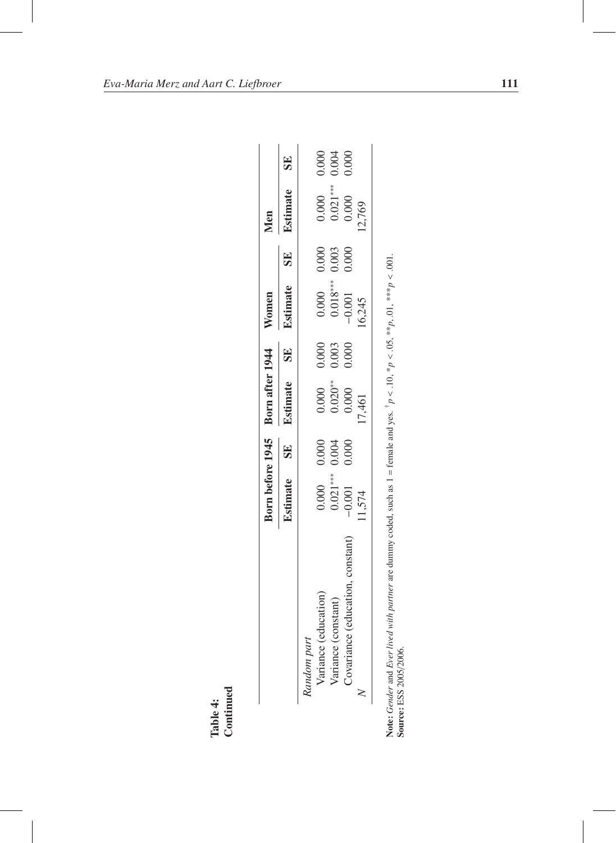|                                  |                                     |           | Born before 1945 Born after 1944 Women |       |                                                                   |           | Men             |       |
|----------------------------------|-------------------------------------|-----------|----------------------------------------|-------|-------------------------------------------------------------------|-----------|-----------------|-------|
|                                  | Estimate                            | <b>SE</b> | Estimate SE                            |       | Estimate                                                          | <b>SE</b> | <b>Estimate</b> | SE    |
| Random part                      |                                     |           |                                        |       |                                                                   |           |                 |       |
| Variance (education)             |                                     |           |                                        | 0.000 |                                                                   |           | 0.000           | 0.000 |
| Variance (constant)              | $0.000$ 0.000<br>$0.004$<br>$0.004$ |           | $0.000$<br>$0.020**$                   | 0.003 | $\begin{array}{cc} 0.000 & 0.000 \\ 0.018*** & 0.003 \end{array}$ |           | $0.021***$      | 0.004 |
| Covariance (education, constant) | $-0.001$                            | 0.000     | 0.000                                  | 0.000 | $-0.001$                                                          | 0.000     | 0.000           | 0.000 |
|                                  | 11,574                              |           | 17,461                                 |       | 16,245                                                            |           | 12,769          |       |

| ć<br>ţ                                                                          |             |
|---------------------------------------------------------------------------------|-------------|
| $\vdots$                                                                        |             |
|                                                                                 |             |
| $\frac{1}{2}$                                                                   |             |
|                                                                                 |             |
| l                                                                               |             |
|                                                                                 |             |
|                                                                                 |             |
| م<br>م                                                                          |             |
|                                                                                 |             |
| $l = rema$                                                                      |             |
|                                                                                 |             |
|                                                                                 |             |
|                                                                                 |             |
| in een                                                                          |             |
|                                                                                 |             |
|                                                                                 |             |
| į                                                                               |             |
|                                                                                 |             |
|                                                                                 |             |
| I                                                                               | Ì           |
| ֧ׅ֧֧֧֧ׅ֧ׅ֧֧֧֧֧֧֧ׅ֧֚֚֚֚֚֚֚֚֚֚֚֚֚֚֚֚֚֚֚֚֚֚֚֚֚֚֚֚֚֚֚֡֝֕֕֝֝֝֓֝֓֝֓֝֬֜֝֓֝֬֝֓֝֬֝֬֝֬֝֬֝ | ١<br>l      |
|                                                                                 | Į<br>I<br>Į |
| 250<br>Ì<br>ie:∖                                                                | ֖֖֖֚֚֚֚֚֬   |
|                                                                                 | μm          |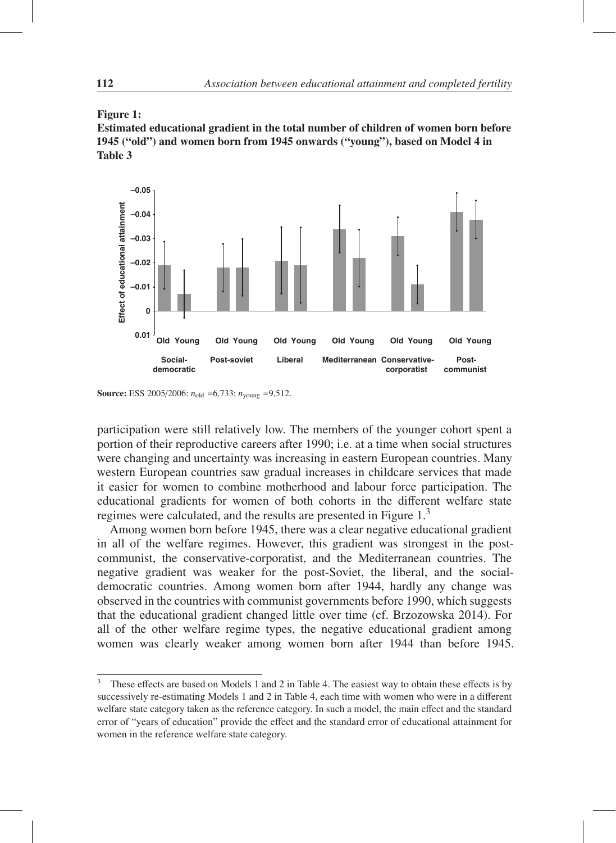

Estimated educational gradient in the total number of children of women born before 1945 ("old") and women born from 1945 onwards ("young"), based on Model 4 in Table 3



Source: ESS 2005/2006; *n*old =6,733; *n*young =9,512.

participation were still relatively low. The members of the younger cohort spent a portion of their reproductive careers after 1990; i.e. at a time when social structures were changing and uncertainty was increasing in eastern European countries. Many western European countries saw gradual increases in childcare services that made it easier for women to combine motherhood and labour force participation. The educational gradients for women of both cohorts in the different welfare state regimes were calculated, and the results are presented in Figure 1.<sup>3</sup>

Among women born before 1945, there was a clear negative educational gradient in all of the welfare regimes. However, this gradient was strongest in the postcommunist, the conservative-corporatist, and the Mediterranean countries. The negative gradient was weaker for the post-Soviet, the liberal, and the socialdemocratic countries. Among women born after 1944, hardly any change was observed in the countries with communist governments before 1990, which suggests that the educational gradient changed little over time (cf. Brzozowska 2014). For all of the other welfare regime types, the negative educational gradient among women was clearly weaker among women born after 1944 than before 1945.

<sup>&</sup>lt;sup>3</sup> These effects are based on Models 1 and 2 in Table 4. The easiest way to obtain these effects is by successively re-estimating Models 1 and 2 in Table 4, each time with women who were in a different welfare state category taken as the reference category. In such a model, the main effect and the standard error of "years of education" provide the effect and the standard error of educational attainment for women in the reference welfare state category.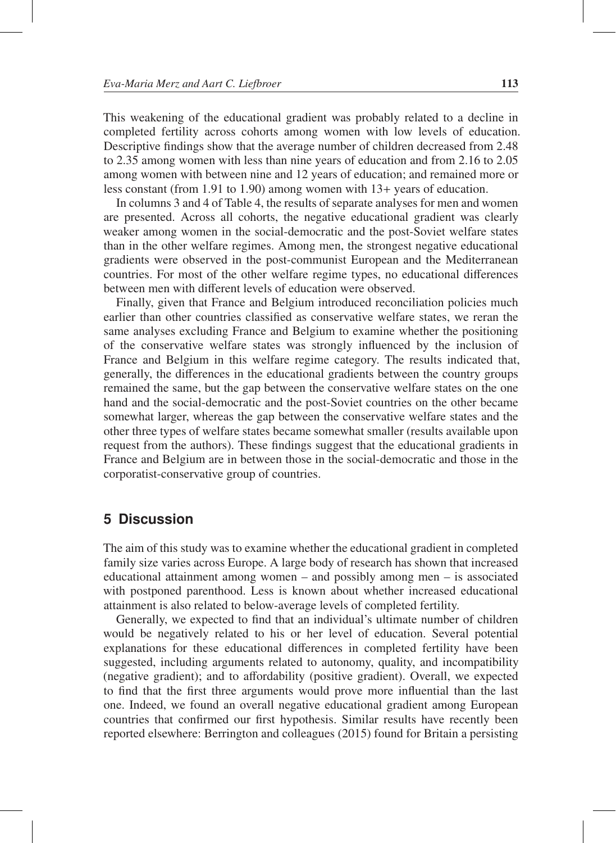This weakening of the educational gradient was probably related to a decline in completed fertility across cohorts among women with low levels of education. Descriptive findings show that the average number of children decreased from 2.48 to 2.35 among women with less than nine years of education and from 2.16 to 2.05 among women with between nine and 12 years of education; and remained more or less constant (from 1.91 to 1.90) among women with 13+ years of education.

In columns 3 and 4 of Table 4, the results of separate analyses for men and women are presented. Across all cohorts, the negative educational gradient was clearly weaker among women in the social-democratic and the post-Soviet welfare states than in the other welfare regimes. Among men, the strongest negative educational gradients were observed in the post-communist European and the Mediterranean countries. For most of the other welfare regime types, no educational differences between men with different levels of education were observed.

Finally, given that France and Belgium introduced reconciliation policies much earlier than other countries classified as conservative welfare states, we reran the same analyses excluding France and Belgium to examine whether the positioning of the conservative welfare states was strongly influenced by the inclusion of France and Belgium in this welfare regime category. The results indicated that, generally, the differences in the educational gradients between the country groups remained the same, but the gap between the conservative welfare states on the one hand and the social-democratic and the post-Soviet countries on the other became somewhat larger, whereas the gap between the conservative welfare states and the other three types of welfare states became somewhat smaller (results available upon request from the authors). These findings suggest that the educational gradients in France and Belgium are in between those in the social-democratic and those in the corporatist-conservative group of countries.

## **5 Discussion**

The aim of this study was to examine whether the educational gradient in completed family size varies across Europe. A large body of research has shown that increased educational attainment among women – and possibly among men – is associated with postponed parenthood. Less is known about whether increased educational attainment is also related to below-average levels of completed fertility.

Generally, we expected to find that an individual's ultimate number of children would be negatively related to his or her level of education. Several potential explanations for these educational differences in completed fertility have been suggested, including arguments related to autonomy, quality, and incompatibility (negative gradient); and to affordability (positive gradient). Overall, we expected to find that the first three arguments would prove more influential than the last one. Indeed, we found an overall negative educational gradient among European countries that confirmed our first hypothesis. Similar results have recently been reported elsewhere: Berrington and colleagues (2015) found for Britain a persisting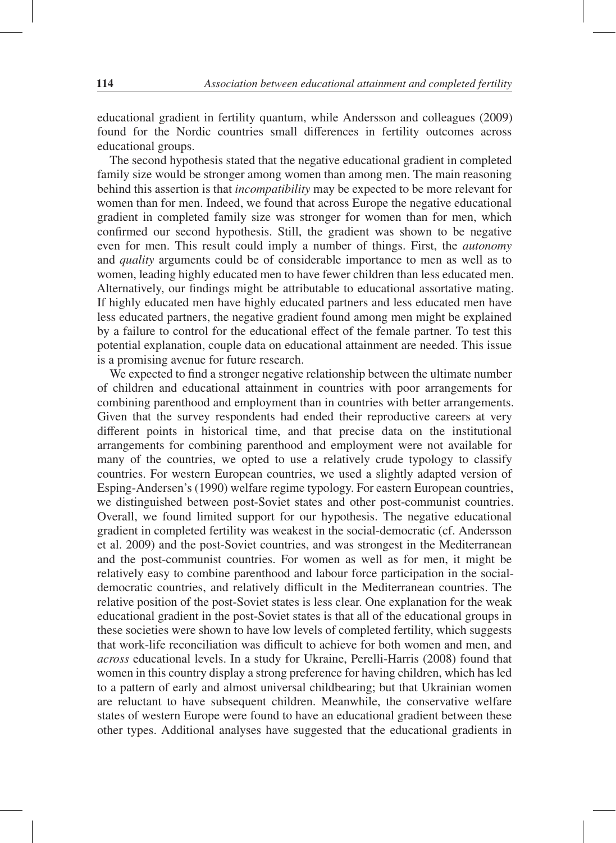educational gradient in fertility quantum, while Andersson and colleagues (2009) found for the Nordic countries small differences in fertility outcomes across educational groups.

The second hypothesis stated that the negative educational gradient in completed family size would be stronger among women than among men. The main reasoning behind this assertion is that *incompatibility* may be expected to be more relevant for women than for men. Indeed, we found that across Europe the negative educational gradient in completed family size was stronger for women than for men, which confirmed our second hypothesis. Still, the gradient was shown to be negative even for men. This result could imply a number of things. First, the *autonomy* and *quality* arguments could be of considerable importance to men as well as to women, leading highly educated men to have fewer children than less educated men. Alternatively, our findings might be attributable to educational assortative mating. If highly educated men have highly educated partners and less educated men have less educated partners, the negative gradient found among men might be explained by a failure to control for the educational effect of the female partner. To test this potential explanation, couple data on educational attainment are needed. This issue is a promising avenue for future research.

We expected to find a stronger negative relationship between the ultimate number of children and educational attainment in countries with poor arrangements for combining parenthood and employment than in countries with better arrangements. Given that the survey respondents had ended their reproductive careers at very different points in historical time, and that precise data on the institutional arrangements for combining parenthood and employment were not available for many of the countries, we opted to use a relatively crude typology to classify countries. For western European countries, we used a slightly adapted version of Esping-Andersen's (1990) welfare regime typology. For eastern European countries, we distinguished between post-Soviet states and other post-communist countries. Overall, we found limited support for our hypothesis. The negative educational gradient in completed fertility was weakest in the social-democratic (cf. Andersson et al. 2009) and the post-Soviet countries, and was strongest in the Mediterranean and the post-communist countries. For women as well as for men, it might be relatively easy to combine parenthood and labour force participation in the socialdemocratic countries, and relatively difficult in the Mediterranean countries. The relative position of the post-Soviet states is less clear. One explanation for the weak educational gradient in the post-Soviet states is that all of the educational groups in these societies were shown to have low levels of completed fertility, which suggests that work-life reconciliation was difficult to achieve for both women and men, and *across* educational levels. In a study for Ukraine, Perelli-Harris (2008) found that women in this country display a strong preference for having children, which has led to a pattern of early and almost universal childbearing; but that Ukrainian women are reluctant to have subsequent children. Meanwhile, the conservative welfare states of western Europe were found to have an educational gradient between these other types. Additional analyses have suggested that the educational gradients in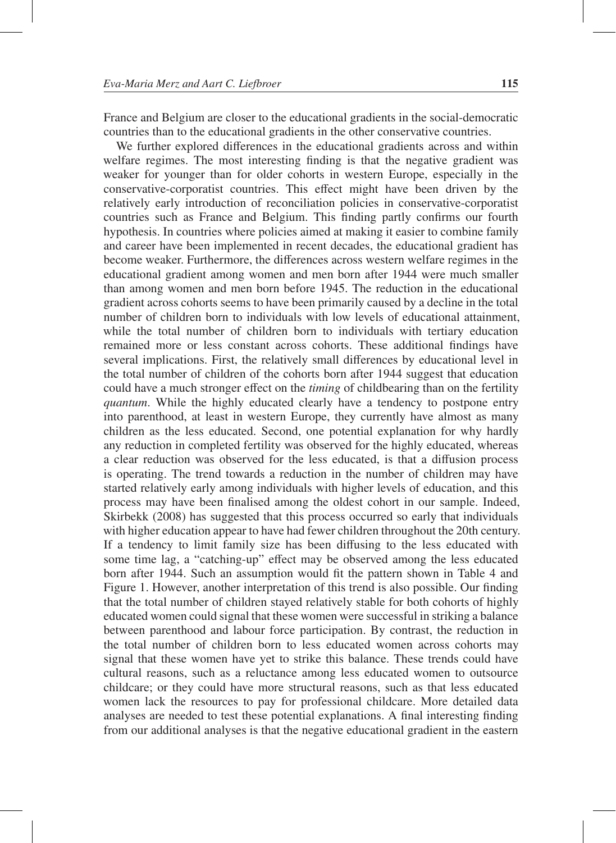France and Belgium are closer to the educational gradients in the social-democratic countries than to the educational gradients in the other conservative countries.

We further explored differences in the educational gradients across and within welfare regimes. The most interesting finding is that the negative gradient was weaker for younger than for older cohorts in western Europe, especially in the conservative-corporatist countries. This effect might have been driven by the relatively early introduction of reconciliation policies in conservative-corporatist countries such as France and Belgium. This finding partly confirms our fourth hypothesis. In countries where policies aimed at making it easier to combine family and career have been implemented in recent decades, the educational gradient has become weaker. Furthermore, the differences across western welfare regimes in the educational gradient among women and men born after 1944 were much smaller than among women and men born before 1945. The reduction in the educational gradient across cohorts seems to have been primarily caused by a decline in the total number of children born to individuals with low levels of educational attainment, while the total number of children born to individuals with tertiary education remained more or less constant across cohorts. These additional findings have several implications. First, the relatively small differences by educational level in the total number of children of the cohorts born after 1944 suggest that education could have a much stronger effect on the *timing* of childbearing than on the fertility *quantum*. While the highly educated clearly have a tendency to postpone entry into parenthood, at least in western Europe, they currently have almost as many children as the less educated. Second, one potential explanation for why hardly any reduction in completed fertility was observed for the highly educated, whereas a clear reduction was observed for the less educated, is that a diffusion process is operating. The trend towards a reduction in the number of children may have started relatively early among individuals with higher levels of education, and this process may have been finalised among the oldest cohort in our sample. Indeed, Skirbekk (2008) has suggested that this process occurred so early that individuals with higher education appear to have had fewer children throughout the 20th century. If a tendency to limit family size has been diffusing to the less educated with some time lag, a "catching-up" effect may be observed among the less educated born after 1944. Such an assumption would fit the pattern shown in Table 4 and Figure 1. However, another interpretation of this trend is also possible. Our finding that the total number of children stayed relatively stable for both cohorts of highly educated women could signal that these women were successful in striking a balance between parenthood and labour force participation. By contrast, the reduction in the total number of children born to less educated women across cohorts may signal that these women have yet to strike this balance. These trends could have cultural reasons, such as a reluctance among less educated women to outsource childcare; or they could have more structural reasons, such as that less educated women lack the resources to pay for professional childcare. More detailed data analyses are needed to test these potential explanations. A final interesting finding from our additional analyses is that the negative educational gradient in the eastern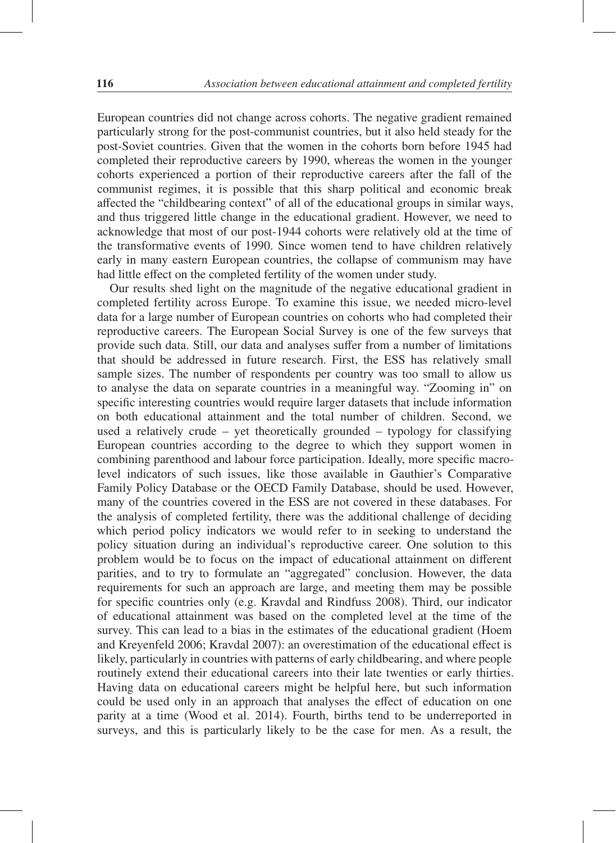European countries did not change across cohorts. The negative gradient remained particularly strong for the post-communist countries, but it also held steady for the post-Soviet countries. Given that the women in the cohorts born before 1945 had completed their reproductive careers by 1990, whereas the women in the younger cohorts experienced a portion of their reproductive careers after the fall of the communist regimes, it is possible that this sharp political and economic break affected the "childbearing context" of all of the educational groups in similar ways, and thus triggered little change in the educational gradient. However, we need to acknowledge that most of our post-1944 cohorts were relatively old at the time of the transformative events of 1990. Since women tend to have children relatively early in many eastern European countries, the collapse of communism may have had little effect on the completed fertility of the women under study.

Our results shed light on the magnitude of the negative educational gradient in completed fertility across Europe. To examine this issue, we needed micro-level data for a large number of European countries on cohorts who had completed their reproductive careers. The European Social Survey is one of the few surveys that provide such data. Still, our data and analyses suffer from a number of limitations that should be addressed in future research. First, the ESS has relatively small sample sizes. The number of respondents per country was too small to allow us to analyse the data on separate countries in a meaningful way. "Zooming in" on specific interesting countries would require larger datasets that include information on both educational attainment and the total number of children. Second, we used a relatively crude – yet theoretically grounded – typology for classifying European countries according to the degree to which they support women in combining parenthood and labour force participation. Ideally, more specific macrolevel indicators of such issues, like those available in Gauthier's Comparative Family Policy Database or the OECD Family Database, should be used. However, many of the countries covered in the ESS are not covered in these databases. For the analysis of completed fertility, there was the additional challenge of deciding which period policy indicators we would refer to in seeking to understand the policy situation during an individual's reproductive career. One solution to this problem would be to focus on the impact of educational attainment on different parities, and to try to formulate an "aggregated" conclusion. However, the data requirements for such an approach are large, and meeting them may be possible for specific countries only (e.g. Kravdal and Rindfuss 2008). Third, our indicator of educational attainment was based on the completed level at the time of the survey. This can lead to a bias in the estimates of the educational gradient (Hoem and Kreyenfeld 2006; Kravdal 2007): an overestimation of the educational effect is likely, particularly in countries with patterns of early childbearing, and where people routinely extend their educational careers into their late twenties or early thirties. Having data on educational careers might be helpful here, but such information could be used only in an approach that analyses the effect of education on one parity at a time (Wood et al. 2014). Fourth, births tend to be underreported in surveys, and this is particularly likely to be the case for men. As a result, the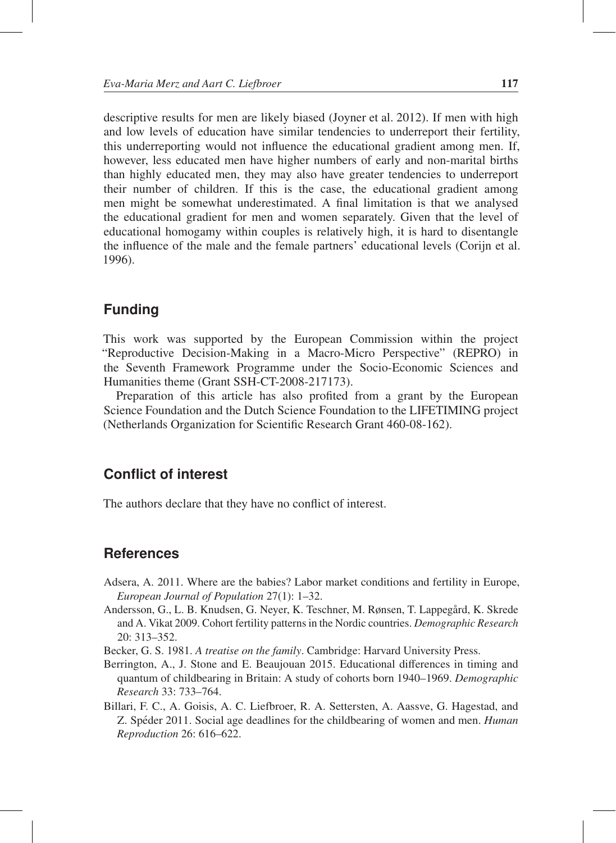descriptive results for men are likely biased (Joyner et al. 2012). If men with high and low levels of education have similar tendencies to underreport their fertility, this underreporting would not influence the educational gradient among men. If, however, less educated men have higher numbers of early and non-marital births than highly educated men, they may also have greater tendencies to underreport their number of children. If this is the case, the educational gradient among men might be somewhat underestimated. A final limitation is that we analysed the educational gradient for men and women separately. Given that the level of educational homogamy within couples is relatively high, it is hard to disentangle the influence of the male and the female partners' educational levels (Corijn et al. 1996).

## **Funding**

This work was supported by the European Commission within the project "Reproductive Decision-Making in a Macro-Micro Perspective" (REPRO) in the Seventh Framework Programme under the Socio-Economic Sciences and Humanities theme (Grant SSH-CT-2008-217173).

Preparation of this article has also profited from a grant by the European Science Foundation and the Dutch Science Foundation to the LIFETIMING project (Netherlands Organization for Scientific Research Grant 460-08-162).

## **Conflict of interest**

The authors declare that they have no conflict of interest.

## **References**

- Adsera, A. 2011. Where are the babies? Labor market conditions and fertility in Europe, *European Journal of Population* 27(1): 1–32.
- Andersson, G., L. B. Knudsen, G. Neyer, K. Teschner, M. Rønsen, T. Lappegård, K. Skrede and A. Vikat 2009. Cohort fertility patterns in the Nordic countries. *Demographic Research* 20: 313–352.
- Becker, G. S. 1981. *A treatise on the family*. Cambridge: Harvard University Press.
- Berrington, A., J. Stone and E. Beaujouan 2015. Educational differences in timing and quantum of childbearing in Britain: A study of cohorts born 1940–1969. *Demographic Research* 33: 733–764.
- Billari, F. C., A. Goisis, A. C. Liefbroer, R. A. Settersten, A. Aassve, G. Hagestad, and Z. Spéder 2011. Social age deadlines for the childbearing of women and men. *Human Reproduction* 26: 616–622.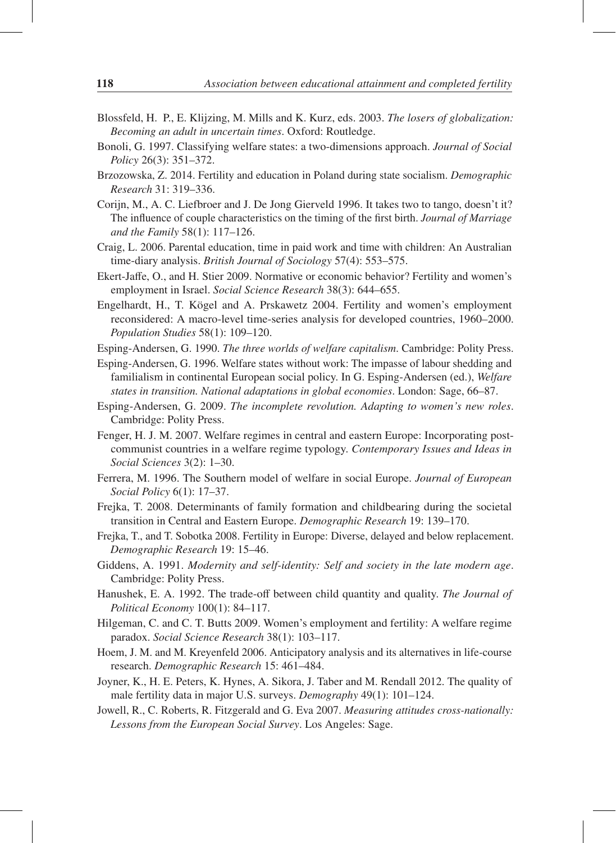- Blossfeld, H. P., E. Klijzing, M. Mills and K. Kurz, eds. 2003. *The losers of globalization: Becoming an adult in uncertain times*. Oxford: Routledge.
- Bonoli, G. 1997. Classifying welfare states: a two-dimensions approach. *Journal of Social Policy* 26(3): 351–372.
- Brzozowska, Z. 2014. Fertility and education in Poland during state socialism. *Demographic Research* 31: 319–336.
- Corijn, M., A. C. Liefbroer and J. De Jong Gierveld 1996. It takes two to tango, doesn't it? The influence of couple characteristics on the timing of the first birth. *Journal of Marriage and the Family* 58(1): 117–126.
- Craig, L. 2006. Parental education, time in paid work and time with children: An Australian time-diary analysis. *British Journal of Sociology* 57(4): 553–575.
- Ekert-Jaffe, O., and H. Stier 2009. Normative or economic behavior? Fertility and women's employment in Israel. *Social Science Research* 38(3): 644–655.
- Engelhardt, H., T. Kögel and A. Prskawetz 2004. Fertility and women's employment reconsidered: A macro-level time-series analysis for developed countries, 1960–2000. *Population Studies* 58(1): 109–120.
- Esping-Andersen, G. 1990. *The three worlds of welfare capitalism*. Cambridge: Polity Press.
- Esping-Andersen, G. 1996. Welfare states without work: The impasse of labour shedding and familialism in continental European social policy. In G. Esping-Andersen (ed.), *Welfare states in transition. National adaptations in global economies*. London: Sage, 66–87.
- Esping-Andersen, G. 2009. *The incomplete revolution. Adapting to women's new roles*. Cambridge: Polity Press.
- Fenger, H. J. M. 2007. Welfare regimes in central and eastern Europe: Incorporating postcommunist countries in a welfare regime typology. *Contemporary Issues and Ideas in Social Sciences* 3(2): 1–30.
- Ferrera, M. 1996. The Southern model of welfare in social Europe. *Journal of European Social Policy* 6(1): 17–37.
- Frejka, T. 2008. Determinants of family formation and childbearing during the societal transition in Central and Eastern Europe. *Demographic Research* 19: 139–170.
- Frejka, T., and T. Sobotka 2008. Fertility in Europe: Diverse, delayed and below replacement. *Demographic Research* 19: 15–46.
- Giddens, A. 1991. *Modernity and self-identity: Self and society in the late modern age*. Cambridge: Polity Press.
- Hanushek, E. A. 1992. The trade-off between child quantity and quality. *The Journal of Political Economy* 100(1): 84–117.
- Hilgeman, C. and C. T. Butts 2009. Women's employment and fertility: A welfare regime paradox. *Social Science Research* 38(1): 103–117.
- Hoem, J. M. and M. Kreyenfeld 2006. Anticipatory analysis and its alternatives in life-course research. *Demographic Research* 15: 461–484.
- Joyner, K., H. E. Peters, K. Hynes, A. Sikora, J. Taber and M. Rendall 2012. The quality of male fertility data in major U.S. surveys. *Demography* 49(1): 101–124.
- Jowell, R., C. Roberts, R. Fitzgerald and G. Eva 2007. *Measuring attitudes cross-nationally: Lessons from the European Social Survey*. Los Angeles: Sage.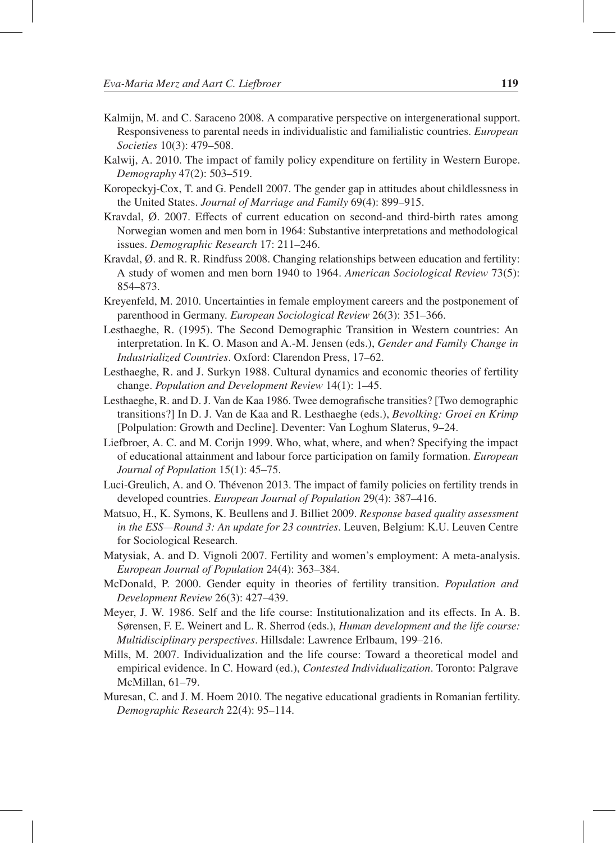- Kalmijn, M. and C. Saraceno 2008. A comparative perspective on intergenerational support. Responsiveness to parental needs in individualistic and familialistic countries. *European Societies* 10(3): 479–508.
- Kalwij, A. 2010. The impact of family policy expenditure on fertility in Western Europe. *Demography* 47(2): 503–519.
- Koropeckyj-Cox, T. and G. Pendell 2007. The gender gap in attitudes about childlessness in the United States. *Journal of Marriage and Family* 69(4): 899–915.
- Kravdal, Ø. 2007. Effects of current education on second-and third-birth rates among Norwegian women and men born in 1964: Substantive interpretations and methodological issues. *Demographic Research* 17: 211–246.
- Kravdal, Ø. and R. R. Rindfuss 2008. Changing relationships between education and fertility: A study of women and men born 1940 to 1964. *American Sociological Review* 73(5): 854–873.
- Kreyenfeld, M. 2010. Uncertainties in female employment careers and the postponement of parenthood in Germany. *European Sociological Review* 26(3): 351–366.
- Lesthaeghe, R. (1995). The Second Demographic Transition in Western countries: An interpretation. In K. O. Mason and A.-M. Jensen (eds.), *Gender and Family Change in Industrialized Countries*. Oxford: Clarendon Press, 17–62.
- Lesthaeghe, R. and J. Surkyn 1988. Cultural dynamics and economic theories of fertility change. *Population and Development Review* 14(1): 1–45.
- Lesthaeghe, R. and D. J. Van de Kaa 1986. Twee demografische transities? [Two demographic transitions?] In D. J. Van de Kaa and R. Lesthaeghe (eds.), *Bevolking: Groei en Krimp* [Polpulation: Growth and Decline]. Deventer: Van Loghum Slaterus, 9–24.
- Liefbroer, A. C. and M. Corijn 1999. Who, what, where, and when? Specifying the impact of educational attainment and labour force participation on family formation. *European Journal of Population* 15(1): 45–75.
- Luci-Greulich, A. and O. Thevenon 2013. The impact of family policies on fertility trends in ´ developed countries. *European Journal of Population* 29(4): 387–416.
- Matsuo, H., K. Symons, K. Beullens and J. Billiet 2009. *Response based quality assessment in the ESS—Round 3: An update for 23 countries*. Leuven, Belgium: K.U. Leuven Centre for Sociological Research.
- Matysiak, A. and D. Vignoli 2007. Fertility and women's employment: A meta-analysis. *European Journal of Population* 24(4): 363–384.
- McDonald, P. 2000. Gender equity in theories of fertility transition. *Population and Development Review* 26(3): 427–439.
- Meyer, J. W. 1986. Self and the life course: Institutionalization and its effects. In A. B. Sørensen, F. E. Weinert and L. R. Sherrod (eds.), *Human development and the life course: Multidisciplinary perspectives*. Hillsdale: Lawrence Erlbaum, 199–216.
- Mills, M. 2007. Individualization and the life course: Toward a theoretical model and empirical evidence. In C. Howard (ed.), *Contested Individualization*. Toronto: Palgrave McMillan, 61–79.
- Muresan, C. and J. M. Hoem 2010. The negative educational gradients in Romanian fertility. *Demographic Research* 22(4): 95–114.